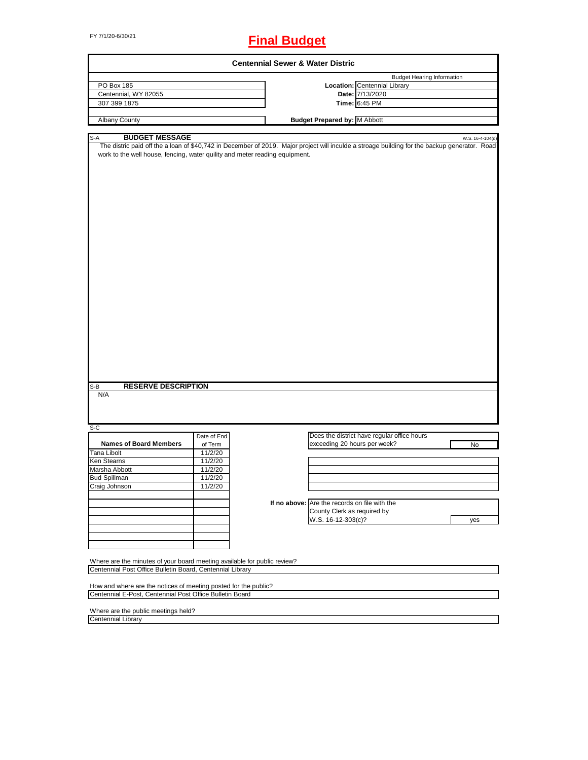# FY 7/1/20-6/30/21 **Final Budget**

|                                                                                                                                                                                                                                                                                                     |             |  | <b>Centennial Sewer &amp; Water Distric</b>   |                                             |                  |  |
|-----------------------------------------------------------------------------------------------------------------------------------------------------------------------------------------------------------------------------------------------------------------------------------------------------|-------------|--|-----------------------------------------------|---------------------------------------------|------------------|--|
|                                                                                                                                                                                                                                                                                                     |             |  |                                               | <b>Budget Hearing Information</b>           |                  |  |
| PO Box 185                                                                                                                                                                                                                                                                                          |             |  |                                               | Location: Centennial Library                |                  |  |
| Centennial, WY 82055                                                                                                                                                                                                                                                                                |             |  |                                               | Date: 7/13/2020                             |                  |  |
| 307 399 1875                                                                                                                                                                                                                                                                                        |             |  |                                               | Time: 6:45 PM                               |                  |  |
|                                                                                                                                                                                                                                                                                                     |             |  |                                               |                                             |                  |  |
| Albany County                                                                                                                                                                                                                                                                                       |             |  | <b>Budget Prepared by: M Abbott</b>           |                                             |                  |  |
|                                                                                                                                                                                                                                                                                                     |             |  |                                               |                                             |                  |  |
|                                                                                                                                                                                                                                                                                                     |             |  |                                               |                                             |                  |  |
| <b>BUDGET MESSAGE</b><br>S-A<br>The distric paid off the a loan of \$40,742 in December of 2019. Major project will inculde a stroage building for the backup generator. Road<br>work to the well house, fencing, water quility and meter reading equipment.<br><b>RESERVE DESCRIPTION</b><br>$S-B$ |             |  |                                               |                                             | W.S. 16-4-104(d) |  |
| N/A                                                                                                                                                                                                                                                                                                 |             |  |                                               |                                             |                  |  |
| $S-C$                                                                                                                                                                                                                                                                                               |             |  |                                               |                                             |                  |  |
|                                                                                                                                                                                                                                                                                                     | Date of End |  |                                               | Does the district have regular office hours |                  |  |
| <b>Names of Board Members</b>                                                                                                                                                                                                                                                                       | of Term     |  | exceeding 20 hours per week?                  |                                             | No               |  |
| Tana Libolt                                                                                                                                                                                                                                                                                         | 11/2/20     |  |                                               |                                             |                  |  |
| Ken Stearns                                                                                                                                                                                                                                                                                         | 11/2/20     |  |                                               |                                             |                  |  |
| Marsha Abbott                                                                                                                                                                                                                                                                                       | 11/2/20     |  |                                               |                                             |                  |  |
| <b>Bud Spillman</b>                                                                                                                                                                                                                                                                                 | 11/2/20     |  |                                               |                                             |                  |  |
| Craig Johnson                                                                                                                                                                                                                                                                                       | 11/2/20     |  |                                               |                                             |                  |  |
|                                                                                                                                                                                                                                                                                                     |             |  |                                               |                                             |                  |  |
|                                                                                                                                                                                                                                                                                                     |             |  | If no above: Are the records on file with the |                                             |                  |  |
|                                                                                                                                                                                                                                                                                                     |             |  | County Clerk as required by                   |                                             |                  |  |
|                                                                                                                                                                                                                                                                                                     |             |  | W.S. 16-12-303(c)?                            |                                             |                  |  |
|                                                                                                                                                                                                                                                                                                     |             |  |                                               |                                             | yes              |  |
|                                                                                                                                                                                                                                                                                                     |             |  |                                               |                                             |                  |  |
|                                                                                                                                                                                                                                                                                                     |             |  |                                               |                                             |                  |  |
|                                                                                                                                                                                                                                                                                                     |             |  |                                               |                                             |                  |  |
|                                                                                                                                                                                                                                                                                                     |             |  |                                               |                                             |                  |  |
| Where are the minutes of your board meeting available for public review?<br>Centennial Post Office Bulletin Board, Centennial Library                                                                                                                                                               |             |  |                                               |                                             |                  |  |
|                                                                                                                                                                                                                                                                                                     |             |  |                                               |                                             |                  |  |
|                                                                                                                                                                                                                                                                                                     |             |  |                                               |                                             |                  |  |
| How and where are the notices of meeting posted for the public?                                                                                                                                                                                                                                     |             |  |                                               |                                             |                  |  |
| Centennial E-Post, Centennial Post Office Bulletin Board                                                                                                                                                                                                                                            |             |  |                                               |                                             |                  |  |
|                                                                                                                                                                                                                                                                                                     |             |  |                                               |                                             |                  |  |
| Where are the public meetings held?                                                                                                                                                                                                                                                                 |             |  |                                               |                                             |                  |  |
| <b>Centennial Library</b>                                                                                                                                                                                                                                                                           |             |  |                                               |                                             |                  |  |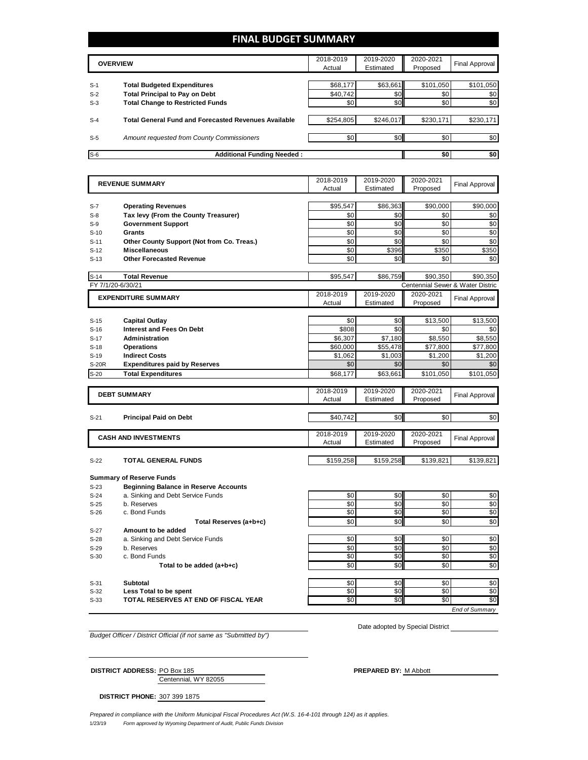### **FINAL BUDGET SUMMARY**

|       | <b>OVERVIEW</b>                                             | 2018-2019<br>Actual | 2019-2020<br>Estimated | 2020-2021<br>Proposed | Final Approval |
|-------|-------------------------------------------------------------|---------------------|------------------------|-----------------------|----------------|
|       |                                                             |                     |                        |                       |                |
| $S-1$ | <b>Total Budgeted Expenditures</b>                          | \$68,177            | \$63,661               | \$101,050             | \$101,050      |
| $S-2$ | <b>Total Principal to Pay on Debt</b>                       | \$40,742            | \$0 <sub>1</sub>       | \$0                   | \$0            |
| $S-3$ | <b>Total Change to Restricted Funds</b>                     | \$0                 | \$0 <sub>1</sub>       | \$0                   | \$0            |
|       |                                                             |                     |                        |                       |                |
| $S-4$ | <b>Total General Fund and Forecasted Revenues Available</b> | \$254,805           | \$246,017              | \$230,171             | \$230,171      |
|       |                                                             |                     |                        |                       |                |
| $S-5$ | Amount requested from County Commissioners                  | \$0                 | \$0 <sub>1</sub>       | \$0                   | \$0            |
|       |                                                             |                     |                        |                       |                |
| $S-6$ | <b>Additional Funding Needed:</b>                           |                     |                        | \$0                   | \$0            |

|                   | <b>REVENUE SUMMARY</b>                       | 2018-2019 | 2019-2020 | 2020-2021 | <b>Final Approval</b>            |
|-------------------|----------------------------------------------|-----------|-----------|-----------|----------------------------------|
|                   |                                              | Actual    | Estimated | Proposed  |                                  |
|                   |                                              |           |           |           |                                  |
| S-7               | <b>Operating Revenues</b>                    | \$95,547  | \$86,363  | \$90,000  | \$90,000                         |
| $S-8$             | Tax levy (From the County Treasurer)         | \$0       | \$0       | \$0       | \$0                              |
| $S-9$             | <b>Government Support</b>                    | \$0       | \$0       | \$0       | \$0                              |
| $S-10$            | <b>Grants</b>                                | \$0       | \$0       | \$0       | \$0                              |
| $S-11$            | Other County Support (Not from Co. Treas.)   | \$0       | \$0       | \$0       | \$0                              |
| $S-12$            | <b>Miscellaneous</b>                         | \$0       | \$396     | \$350     | \$350                            |
| $S-13$            | <b>Other Forecasted Revenue</b>              | \$0       | \$0       | \$0       | \$0                              |
|                   |                                              |           |           |           |                                  |
| $S-14$            | <b>Total Revenue</b>                         | \$95,547  | \$86,759  | \$90,350  | \$90,350                         |
| FY 7/1/20-6/30/21 |                                              |           |           |           | Centennial Sewer & Water Distric |
|                   | <b>EXPENDITURE SUMMARY</b>                   | 2018-2019 | 2019-2020 | 2020-2021 | <b>Final Approval</b>            |
|                   |                                              | Actual    | Estimated | Proposed  |                                  |
|                   |                                              |           |           |           |                                  |
| $S-15$            | <b>Capital Outlay</b>                        | \$0       | \$0       | \$13,500  | \$13,500                         |
| $S-16$            | <b>Interest and Fees On Debt</b>             | \$808     | \$0       | \$0       | \$0                              |
| $S-17$            | <b>Administration</b>                        | \$6,307   | \$7,180   | \$8,550   | \$8,550                          |
| $S-18$            | <b>Operations</b>                            | \$60,000  | \$55,478  | \$77,800  | \$77,800                         |
| $S-19$            | <b>Indirect Costs</b>                        | \$1,062   | \$1,003   | \$1,200   | \$1,200                          |
| <b>S-20R</b>      | <b>Expenditures paid by Reserves</b>         | \$0       | \$0       | \$0       | \$0                              |
| $S-20$            | <b>Total Expenditures</b>                    | \$68,177  | \$63,661  | \$101,050 | \$101,050                        |
|                   |                                              |           |           |           |                                  |
|                   | <b>DEBT SUMMARY</b>                          | 2018-2019 | 2019-2020 | 2020-2021 | <b>Final Approval</b>            |
|                   |                                              | Actual    | Estimated | Proposed  |                                  |
|                   |                                              |           |           |           |                                  |
| $S-21$            | <b>Principal Paid on Debt</b>                | \$40,742  | \$0       | \$0       | \$0                              |
|                   |                                              | 2018-2019 | 2019-2020 | 2020-2021 |                                  |
|                   | <b>CASH AND INVESTMENTS</b>                  | Actual    | Estimated | Proposed  | Final Approval                   |
|                   |                                              |           |           |           |                                  |
| $S-22$            | <b>TOTAL GENERAL FUNDS</b>                   | \$159,258 | \$159,258 | \$139,821 | \$139,821                        |
|                   |                                              |           |           |           |                                  |
|                   | <b>Summary of Reserve Funds</b>              |           |           |           |                                  |
| $S-23$            | <b>Beginning Balance in Reserve Accounts</b> |           |           |           |                                  |
| $S-24$            | a. Sinking and Debt Service Funds            | \$0       | \$0       | \$0       | \$0                              |
| $S-25$            | b. Reserves                                  | \$0       | \$0       | \$0       | \$0                              |
| $S-26$            | c. Bond Funds                                | \$0       | \$0       | \$0       | \$0                              |
|                   | Total Reserves (a+b+c)                       | \$0       | \$0       | \$0       | \$0                              |
| $S-27$            | Amount to be added                           |           |           |           |                                  |
| $S-28$            | a. Sinking and Debt Service Funds            | \$0       | \$0       | \$0       | \$0                              |
| $S-29$            | b. Reserves                                  | \$0       | \$0       | \$0       | \$0                              |
| $S-30$            | c. Bond Funds                                | \$0       | \$0       | \$0       | \$0                              |
|                   | Total to be added (a+b+c)                    | \$0       | \$0       | \$0       | \$0                              |
|                   |                                              |           |           |           |                                  |
| $S-31$            | Subtotal                                     | \$0       | \$0       | \$0       | \$0                              |
| $S-32$            | Less Total to be spent                       | \$0       | \$0       | \$0       | \$0                              |
| $S-33$            | TOTAL RESERVES AT END OF FISCAL YEAR         | \$0       | \$0       | \$0       | \$0                              |
|                   |                                              |           |           |           | End of Summary                   |

*Budget Officer / District Official (if not same as "Submitted by")*

Date adopted by Special District

Centennial, WY 82055 **DISTRICT ADDRESS:** PO Box 185 **PREPARED BY:** M Abbott

**DISTRICT PHONE:** 307 399 1875

1/23/19 *Form approved by Wyoming Department of Audit, Public Funds Division Prepared in compliance with the Uniform Municipal Fiscal Procedures Act (W.S. 16-4-101 through 124) as it applies.*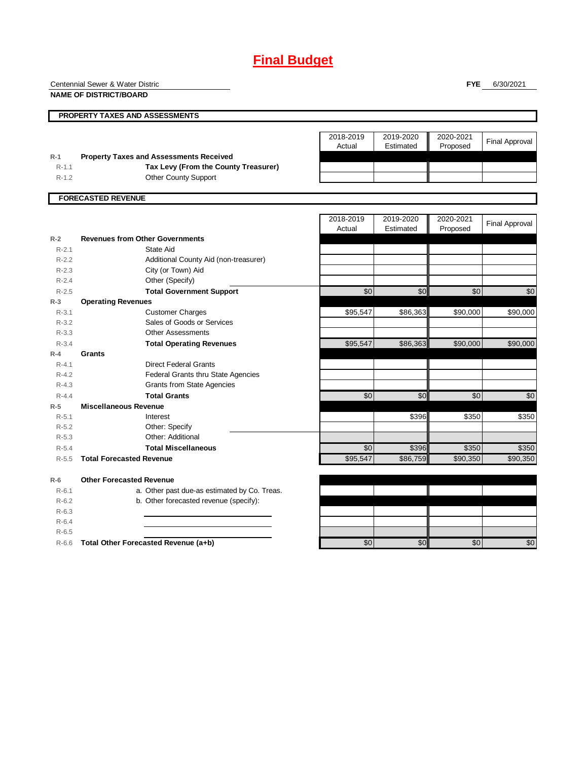# **Final Budget**

|                        | Centennial Sewer & Water Distric                      |           |           | <b>FYE</b> | 6/30/2021             |
|------------------------|-------------------------------------------------------|-----------|-----------|------------|-----------------------|
|                        | <b>NAME OF DISTRICT/BOARD</b>                         |           |           |            |                       |
|                        | PROPERTY TAXES AND ASSESSMENTS                        |           |           |            |                       |
|                        |                                                       | 2018-2019 | 2019-2020 | 2020-2021  |                       |
|                        |                                                       | Actual    | Estimated | Proposed   | <b>Final Approval</b> |
| $R-1$                  | <b>Property Taxes and Assessments Received</b>        |           |           |            |                       |
| $R - 1.1$              | Tax Levy (From the County Treasurer)                  |           |           |            |                       |
| $R-1.2$                | <b>Other County Support</b>                           |           |           |            |                       |
|                        | <b>FORECASTED REVENUE</b>                             |           |           |            |                       |
|                        |                                                       |           |           |            |                       |
|                        |                                                       | 2018-2019 | 2019-2020 | 2020-2021  | <b>Final Approval</b> |
|                        |                                                       | Actual    | Estimated | Proposed   |                       |
| $R-2$                  | <b>Revenues from Other Governments</b>                |           |           |            |                       |
| $R-2.1$                | State Aid                                             |           |           |            |                       |
| $R-2.2$                | Additional County Aid (non-treasurer)                 |           |           |            |                       |
| $R-2.3$                | City (or Town) Aid                                    |           |           |            |                       |
| $R - 2.4$              | Other (Specify)                                       |           |           |            |                       |
| $R-2.5$                | <b>Total Government Support</b>                       | \$0       | \$0       | \$0        | \$0                   |
| $R-3$                  | <b>Operating Revenues</b>                             |           |           |            |                       |
| $R - 3.1$              | <b>Customer Charges</b><br>Sales of Goods or Services | \$95,547  | \$86,363  | \$90,000   | \$90,000              |
| $R - 3.2$<br>$R - 3.3$ | <b>Other Assessments</b>                              |           |           |            |                       |
| $R - 3.4$              | <b>Total Operating Revenues</b>                       | \$95,547  | \$86,363  | \$90,000   | \$90,000              |
| $R-4$                  | <b>Grants</b>                                         |           |           |            |                       |
| $R - 4.1$              | <b>Direct Federal Grants</b>                          |           |           |            |                       |
| $R - 4.2$              | Federal Grants thru State Agencies                    |           |           |            |                       |
| $R-4.3$                | <b>Grants from State Agencies</b>                     |           |           |            |                       |
| $R - 4.4$              | <b>Total Grants</b>                                   | \$0       | \$0       | \$0        | \$0                   |
| $R-5$                  | <b>Miscellaneous Revenue</b>                          |           |           |            |                       |
| $R-5.1$                | Interest                                              |           | \$396     | \$350      | \$350                 |
| $R-5.2$                | Other: Specify                                        |           |           |            |                       |
| $R-5.3$                | Other: Additional                                     |           |           |            |                       |
| $R-5.4$                | <b>Total Miscellaneous</b>                            | \$0       | \$396     | \$350      | \$350                 |
| $R - 5.5$              | <b>Total Forecasted Revenue</b>                       | \$95,547  | \$86,759  | \$90,350   | \$90,350              |
| $R-6$                  | <b>Other Forecasted Revenue</b>                       |           |           |            |                       |
| $R-6.1$                | a. Other past due-as estimated by Co. Treas.          |           |           |            |                       |
| $R-6.2$                | b. Other forecasted revenue (specify):                |           |           |            |                       |
| $R-6.3$                |                                                       |           |           |            |                       |
| $R-6.4$                |                                                       |           |           |            |                       |
| $R-6.5$                |                                                       |           |           |            |                       |
| $R-6.6$                | Total Other Forecasted Revenue (a+b)                  | \$0       | \$0       | \$0        | \$0                   |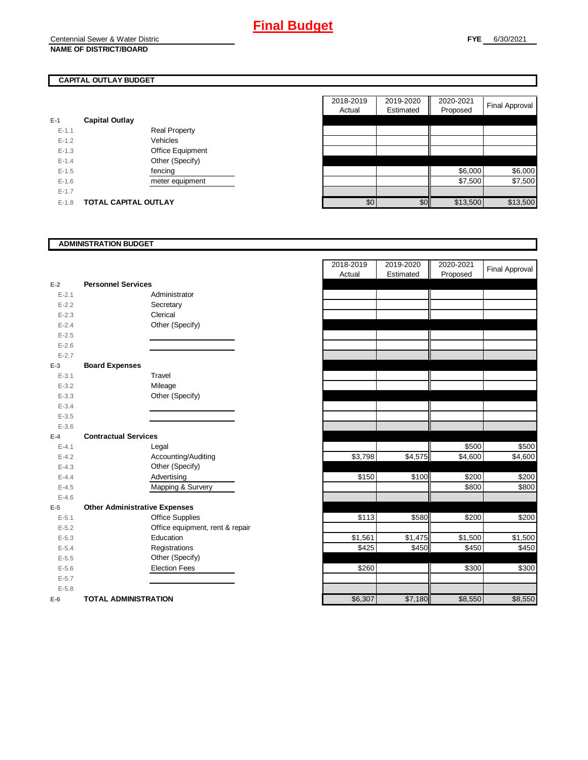### **CAPITAL OUTLAY BUDGET**

| $E-1$     | <b>Capital Outlay</b> |                      |
|-----------|-----------------------|----------------------|
| $E - 1.1$ |                       | <b>Real Property</b> |
| $F-12$    |                       | Vehicles             |
| $E - 1.3$ |                       | Office Equipment     |
| $E - 1.4$ |                       | Other (Specify)      |
| $F-1.5$   |                       | fencing              |
| $F-16$    |                       | meter equipment      |
| $E - 1.7$ |                       |                      |
| $F-1.8$   | TOTAL CAPITAL OUTLAY  |                      |

|         |                             |                      | 2018-2019 | 2019-2020 | 2020-2021 |                       |
|---------|-----------------------------|----------------------|-----------|-----------|-----------|-----------------------|
|         |                             |                      | Actual    | Estimated | Proposed  | <b>Final Approval</b> |
|         | <b>Capital Outlay</b>       |                      |           |           |           |                       |
| $E-1.1$ |                             | <b>Real Property</b> |           |           |           |                       |
| $E-1.2$ |                             | Vehicles             |           |           |           |                       |
| $E-1.3$ |                             | Office Equipment     |           |           |           |                       |
| $E-1.4$ |                             | Other (Specify)      |           |           |           |                       |
| $E-1.5$ |                             | fencing              |           |           | \$6,000   | \$6,000               |
| $E-1.6$ |                             | meter equipment      |           |           | \$7,500   | \$7,500               |
| $E-1.7$ |                             |                      |           |           |           |                       |
| $E-1.8$ | <b>TOTAL CAPITAL OUTLAY</b> |                      | \$0       | \$0       | \$13,500  | \$13,500              |

### **ADMINISTRATION BUDGET**

| $E-2$     | <b>Personnel Services</b>            |                                 |
|-----------|--------------------------------------|---------------------------------|
| $E - 2.1$ |                                      | Administrator                   |
| $E - 2.2$ |                                      | Secretary                       |
| $E - 2.3$ |                                      | Clerical                        |
| $E - 2.4$ |                                      | Other (Specify)                 |
| $E - 2.5$ |                                      |                                 |
| $E - 2.6$ |                                      |                                 |
| $E - 2.7$ |                                      |                                 |
| $E-3$     | <b>Board Expenses</b>                |                                 |
| $E - 3.1$ |                                      | Travel                          |
| $E - 3.2$ |                                      | Mileage                         |
| $E - 3.3$ |                                      | Other (Specify)                 |
| $E - 3.4$ |                                      |                                 |
| $E - 3.5$ |                                      |                                 |
| $E - 3.6$ |                                      |                                 |
| $E-4$     | <b>Contractual Services</b>          |                                 |
| $E - 4.1$ |                                      | Legal                           |
| $E-4.2$   |                                      | Accounting/Auditing             |
| $E - 4.3$ |                                      | Other (Specify)                 |
| $E-4.4$   |                                      | Advertising                     |
| $E - 4.5$ |                                      | Mapping & Survery               |
| $E - 4.6$ |                                      |                                 |
| $E-5$     | <b>Other Administrative Expenses</b> |                                 |
| $E - 5.1$ |                                      | <b>Office Supplies</b>          |
| $E - 5.2$ |                                      | Office equipment, rent & repair |
| $E - 5.3$ |                                      | Education                       |
| $E - 5.4$ |                                      | Registrations                   |
| $E - 5.5$ |                                      | Other (Specify)                 |
| $E - 5.6$ |                                      | <b>Election Fees</b>            |
| $E - 5.7$ |                                      |                                 |
| $E - 5.8$ |                                      |                                 |
| $E-6$     | <b>TOTAL ADMINISTRATION</b>          |                                 |

|                         |                                      | 2018-2019<br>Actual | 2019-2020<br>Estimated | 2020-2021<br>Proposed | <b>Final Approval</b> |
|-------------------------|--------------------------------------|---------------------|------------------------|-----------------------|-----------------------|
| 2                       | <b>Personnel Services</b>            |                     |                        |                       |                       |
| $E - 2.1$               | Administrator                        |                     |                        |                       |                       |
| $E - 2.2$               | Secretary                            |                     |                        |                       |                       |
| $E - 2.3$               | Clerical                             |                     |                        |                       |                       |
| $E - 2.4$               | Other (Specify)                      |                     |                        |                       |                       |
| $E - 2.5$               |                                      |                     |                        |                       |                       |
| $E - 2.6$               |                                      |                     |                        |                       |                       |
| $E - 2.7$               |                                      |                     |                        |                       |                       |
| $\overline{\mathbf{3}}$ | <b>Board Expenses</b>                |                     |                        |                       |                       |
| $E - 3.1$               | Travel                               |                     |                        |                       |                       |
| $E - 3.2$               | Mileage                              |                     |                        |                       |                       |
| $E - 3.3$               | Other (Specify)                      |                     |                        |                       |                       |
| $E - 3.4$               |                                      |                     |                        |                       |                       |
| $E - 3.5$               |                                      |                     |                        |                       |                       |
| $E - 3.6$               |                                      |                     |                        |                       |                       |
| 4                       | <b>Contractual Services</b>          |                     |                        |                       |                       |
| $E - 4.1$               | Legal                                |                     |                        | \$500                 | \$500                 |
| $E - 4.2$               | Accounting/Auditing                  | \$3,798             | \$4,575                | \$4,600               | \$4,600               |
| $E - 4.3$               | Other (Specify)                      |                     |                        |                       |                       |
| $E - 4.4$               | Advertising                          | \$150               | \$100                  | \$200                 | \$200                 |
| $E - 4.5$               | Mapping & Survery                    |                     |                        | \$800                 | \$800                 |
| $E - 4.6$               |                                      |                     |                        |                       |                       |
| 5                       | <b>Other Administrative Expenses</b> |                     |                        |                       |                       |
| $E - 5.1$               | <b>Office Supplies</b>               | \$113               | \$580                  | \$200                 | \$200                 |
| $E - 5.2$               | Office equipment, rent & repair      |                     |                        |                       |                       |
| $E - 5.3$               | Education                            | \$1,561             | \$1,475                | \$1,500               | \$1,500               |
| $E - 5.4$               | Registrations                        | \$425               | \$450                  | \$450                 | \$450                 |
| $E - 5.5$               | Other (Specify)                      |                     |                        |                       |                       |
| $E - 5.6$               | <b>Election Fees</b>                 | \$260               |                        | \$300                 | \$300                 |
| $E - 5.7$               |                                      |                     |                        |                       |                       |
| $E - 5.8$               |                                      |                     |                        |                       |                       |
| ŝ                       | <b>TOTAL ADMINISTRATION</b>          | \$6,307             | \$7,180                | \$8,550               | \$8,550               |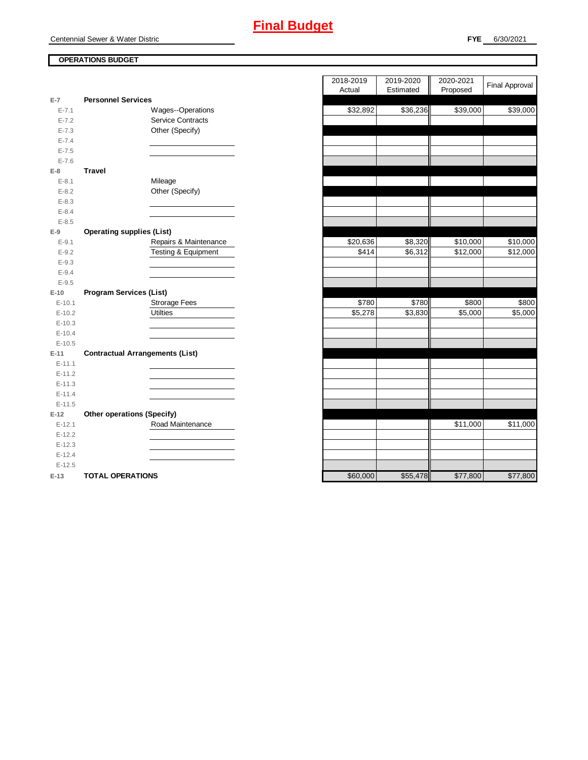Centennial Sewer & Water Distric

### **OPERATIONS BUDGET**

| $E-7$      | <b>Personnel Services</b>              |
|------------|----------------------------------------|
| $E - 7.1$  | <b>Wages--Operations</b>               |
| $E - 7.2$  | <b>Service Contracts</b>               |
| $E - 7.3$  | Other (Specify)                        |
| $E - 7.4$  |                                        |
| $E - 7.5$  |                                        |
| $E - 7.6$  |                                        |
| $E-8$      | <b>Travel</b>                          |
| $E-8.1$    | Mileage                                |
| $E-8.2$    | Other (Specify)                        |
| $E - 8.3$  |                                        |
| $E - 8.4$  |                                        |
| $E - 8.5$  |                                        |
| $E-9$      | <b>Operating supplies (List)</b>       |
| $E-9.1$    | Repairs & Maintenance                  |
| $E-9.2$    | Testing & Equipment                    |
| $E - 9.3$  |                                        |
| $E-9.4$    |                                        |
| $E-9.5$    |                                        |
| $E-10$     | <b>Program Services (List)</b>         |
| $E - 10.1$ | <b>Strorage Fees</b>                   |
| $E-10.2$   | <b>Utilties</b>                        |
| $E-10.3$   |                                        |
| $E-10.4$   |                                        |
| $E-10.5$   |                                        |
| $E-11$     | <b>Contractual Arrangements (List)</b> |
| $E - 11.1$ |                                        |
| $E - 11.2$ |                                        |
| $E - 11.3$ |                                        |
| $E - 11.4$ |                                        |
| $E - 11.5$ |                                        |
| $E-12$     | <b>Other operations (Specify)</b>      |
| $E - 12.1$ | Road Maintenance                       |
| $E-12.2$   |                                        |
| $E-12.3$   |                                        |
| $E-12.4$   |                                        |
| $E-12.5$   |                                        |
| $E-13$     | <b>TOTAL OPERATIONS</b>                |

|                |                                        | 2018-2019           | 2019-2020           | 2020-2021 |                       |
|----------------|----------------------------------------|---------------------|---------------------|-----------|-----------------------|
|                |                                        | Actual              | Estimated           | Proposed  | <b>Final Approval</b> |
| $\overline{7}$ | <b>Personnel Services</b>              |                     |                     |           |                       |
| $E - 7.1$      | Wages--Operations                      | \$32,892            | \$36,236            | \$39,000  | \$39,000              |
| $E - 7.2$      | <b>Service Contracts</b>               |                     |                     |           |                       |
| $E - 7.3$      | Other (Specify)                        |                     |                     |           |                       |
| $E - 7.4$      |                                        |                     |                     |           |                       |
| $E - 7.5$      |                                        |                     |                     |           |                       |
| $E - 7.6$      |                                        |                     |                     |           |                       |
| 8              | <b>Travel</b>                          |                     |                     |           |                       |
| $E-8.1$        | Mileage                                |                     |                     |           |                       |
| $E-8.2$        | Other (Specify)                        |                     |                     |           |                       |
| $E-8.3$        |                                        |                     |                     |           |                       |
| $E-8.4$        |                                        |                     |                     |           |                       |
| $E - 8.5$      |                                        |                     |                     |           |                       |
| 9              | <b>Operating supplies (List)</b>       |                     |                     |           |                       |
| $E-9.1$        | Repairs & Maintenance                  | \$20,636            | \$8,320             | \$10,000  | \$10,000              |
| $E - 9.2$      | <b>Testing &amp; Equipment</b>         | \$414               | \$6,312             | \$12,000  | \$12,000              |
| $E-9.3$        |                                        |                     |                     |           |                       |
| $E - 9.4$      |                                        |                     |                     |           |                       |
| $E - 9.5$      |                                        |                     |                     |           |                       |
| 10             | <b>Program Services (List)</b>         |                     |                     |           |                       |
| $E-10.1$       | <b>Strorage Fees</b>                   | \$780               | \$780               | \$800     | \$800                 |
| $E-10.2$       | <b>Utilties</b>                        | $\overline{$}5,278$ | $\overline{$3,830}$ | \$5,000   | \$5,000               |
| $E-10.3$       |                                        |                     |                     |           |                       |
| $E - 10.4$     |                                        |                     |                     |           |                       |
| $E - 10.5$     |                                        |                     |                     |           |                       |
| 11             | <b>Contractual Arrangements (List)</b> |                     |                     |           |                       |
| $E-11.1$       |                                        |                     |                     |           |                       |
| $E-11.2$       |                                        |                     |                     |           |                       |
| $E-11.3$       |                                        |                     |                     |           |                       |
| $E-11.4$       |                                        |                     |                     |           |                       |
| $E - 11.5$     |                                        |                     |                     |           |                       |
| 12             | <b>Other operations (Specify)</b>      |                     |                     |           |                       |
| $E-12.1$       | Road Maintenance                       |                     |                     | \$11,000  | \$11,000              |
| $E-12.2$       |                                        |                     |                     |           |                       |
| $E-12.3$       |                                        |                     |                     |           |                       |
| $E-12.4$       |                                        |                     |                     |           |                       |
| $E-12.5$       |                                        |                     |                     |           |                       |
| $13 -$         | TOTAL OPFRATIONS                       | $SRO$ 000           | \$55,478            | \$77800   | \$77,800              |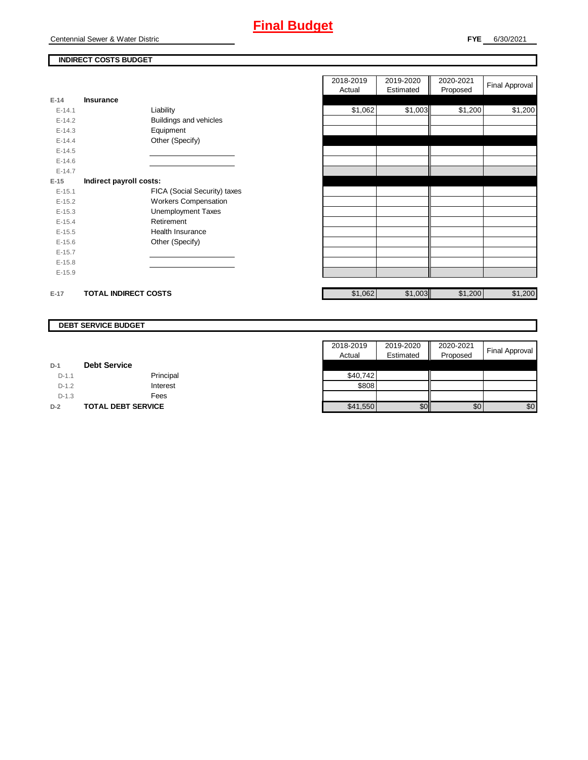## **Final Budget**

### **INDIRECT COSTS BUDGET**

| Actual<br>$E-14$<br>Insurance<br>\$1,062<br>Liability<br>$E-14.1$ | Estimated<br>\$1,003 | Proposed |         |
|-------------------------------------------------------------------|----------------------|----------|---------|
|                                                                   |                      |          |         |
|                                                                   |                      | \$1,200  | \$1,200 |
| Buildings and vehicles<br>$E-14.2$                                |                      |          |         |
| $E-14.3$<br>Equipment                                             |                      |          |         |
| Other (Specify)<br>$E-14.4$                                       |                      |          |         |
| $E-14.5$                                                          |                      |          |         |
| $E-14.6$                                                          |                      |          |         |
| $E-14.7$                                                          |                      |          |         |
| $E-15$<br>Indirect payroll costs:                                 |                      |          |         |
| FICA (Social Security) taxes<br>$E-15.1$                          |                      |          |         |
| <b>Workers Compensation</b><br>$E-15.2$                           |                      |          |         |
| <b>Unemployment Taxes</b><br>$E-15.3$                             |                      |          |         |
| Retirement<br>$E-15.4$                                            |                      |          |         |
| Health Insurance<br>$E-15.5$                                      |                      |          |         |
| Other (Specify)<br>$E-15.6$                                       |                      |          |         |
| $E-15.7$                                                          |                      |          |         |
| $E-15.8$                                                          |                      |          |         |
| $E-15.9$                                                          |                      |          |         |
| \$1,062<br><b>TOTAL INDIRECT COSTS</b><br>$E-17$                  | \$1,003              | \$1,200  | \$1,200 |

### **DEBT SERVICE BUDGET**

|         |                           | 2018-2019 | 2019-2020 | 2020-2021 | Final Approval |
|---------|---------------------------|-----------|-----------|-----------|----------------|
|         |                           | Actual    | Estimated | Proposed  |                |
| $D-1$   | <b>Debt Service</b>       |           |           |           |                |
| $D-1.1$ | Principal                 | \$40,742  |           |           |                |
| $D-1.2$ | Interest                  | \$808     |           |           |                |
| $D-1.3$ | Fees                      |           |           |           |                |
| $D-2$   | <b>TOTAL DEBT SERVICE</b> | \$41,550  | \$0       | \$0       | \$0            |